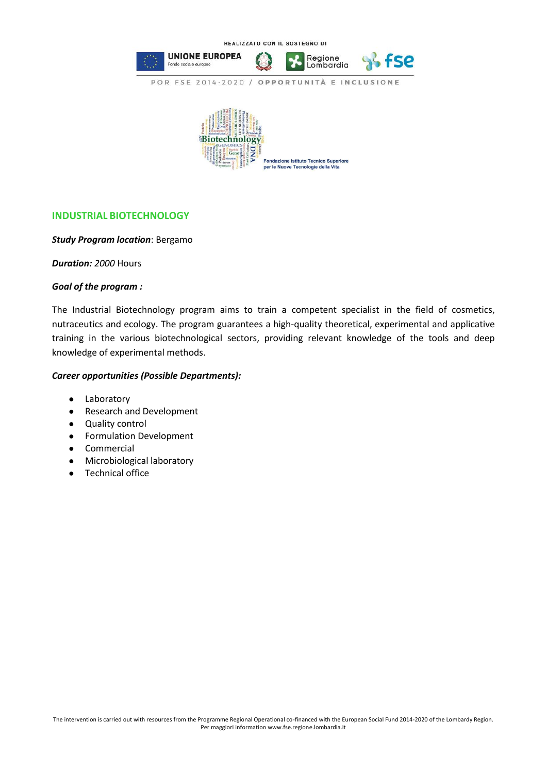

## **INDUSTRIAL BIOTECHNOLOGY**

## *Study Program location*: Bergamo

*Duration: 2000* Hours

## *Goal of the program :*

The Industrial Biotechnology program aims to train a competent specialist in the field of cosmetics, nutraceutics and ecology. The program guarantees a high-quality theoretical, experimental and applicative training in the various biotechnological sectors, providing relevant knowledge of the tools and deep knowledge of experimental methods.

## *Career opportunities (Possible Departments):*

- Laboratory
- Research and Development
- Quality control
- Formulation Development
- Commercial
- Microbiological laboratory
- Technical office